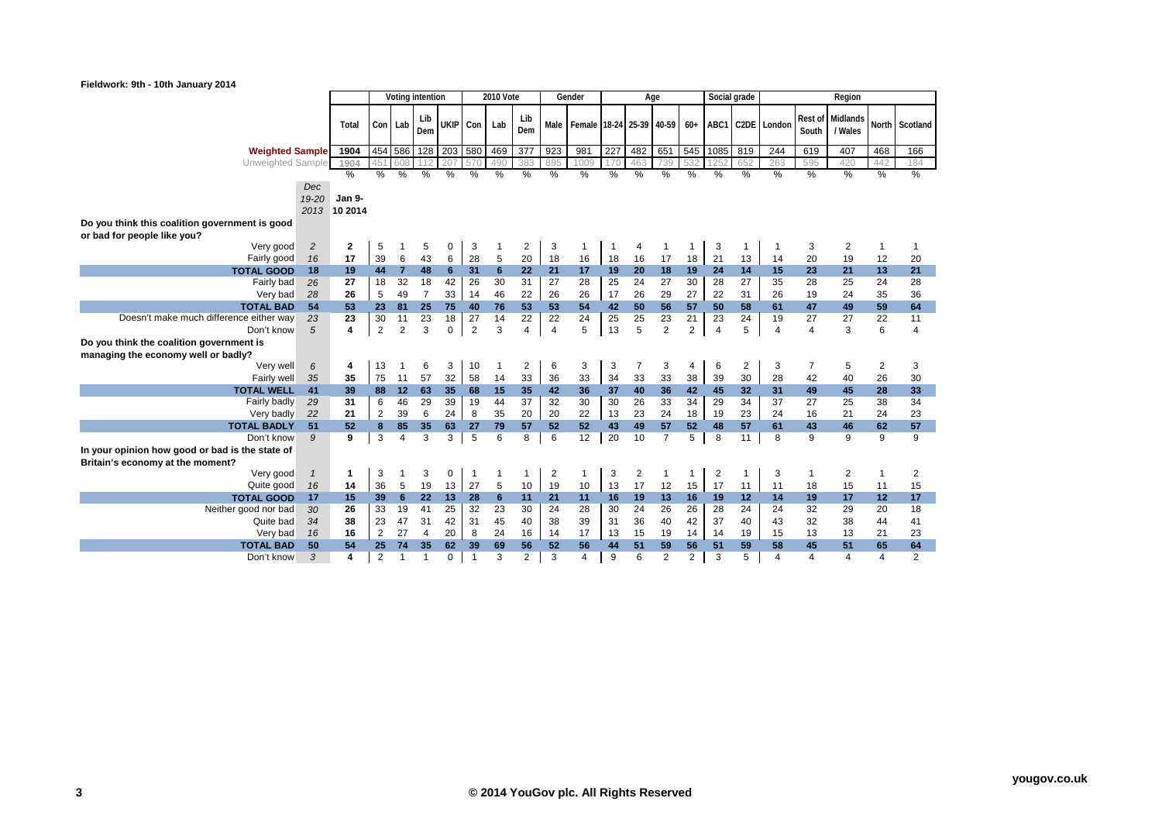## **Fieldwork: 9th - 10th January 2014**

| .                                                                       |      |                         |                |                | Voting intention |             |                | <b>2010 Vote</b> |                |                | Gender                        |            |                | Age            |                |                | Social grade   |                      |                  | Region              |          |                         |
|-------------------------------------------------------------------------|------|-------------------------|----------------|----------------|------------------|-------------|----------------|------------------|----------------|----------------|-------------------------------|------------|----------------|----------------|----------------|----------------|----------------|----------------------|------------------|---------------------|----------|-------------------------|
|                                                                         |      | Total                   | Con Lab        |                | Lib<br>Dem       |             | UKIP Con Lab   |                  | Lib<br>Dem     |                | Male Female 18-24 25-39 40-59 |            |                |                |                |                |                | 60+ ABC1 C2DE London | Rest of<br>South | Midlands<br>/ Wales |          | North Scotland          |
| <b>Weighted Sample</b>                                                  |      | 1904                    |                | 454 586        |                  | 128 203 580 |                | 469              | 377            | 923            | 981                           | 227        | 482            | 651            |                | 545 1085       | 819            | 244                  | 619              | 407                 | 468      | 166                     |
| Unweighted Sample                                                       |      | 1904                    | 451            | 608            | 112              | 207         | 570            | 490              | 383            | 895            | 1009                          | <b>170</b> | 463            | 739            | 532            | 1252           | 652            | 263                  | 595              | 420                 | 442      | 184                     |
|                                                                         |      | %                       | %              | $\%$           | %                | %           | %              | %                | %              | %              | %                             | %          | %              | %              | %              | %              | $\%$           | %                    | %                | %                   | %        | %                       |
|                                                                         | Dec  |                         |                |                |                  |             |                |                  |                |                |                               |            |                |                |                |                |                |                      |                  |                     |          |                         |
| $19 - 20$                                                               |      | Jan 9-                  |                |                |                  |             |                |                  |                |                |                               |            |                |                |                |                |                |                      |                  |                     |          |                         |
|                                                                         | 2013 | 10 2014                 |                |                |                  |             |                |                  |                |                |                               |            |                |                |                |                |                |                      |                  |                     |          |                         |
| Do you think this coalition government is good                          |      |                         |                |                |                  |             |                |                  |                |                |                               |            |                |                |                |                |                |                      |                  |                     |          |                         |
| or bad for people like you?                                             |      |                         |                |                |                  |             |                |                  |                |                |                               |            |                |                |                |                |                |                      |                  |                     |          |                         |
| $\overline{c}$<br>Very good                                             |      | $\mathbf{2}$            | 5              |                | 5                | 0           | 3              |                  | 2              | 3              | 1                             |            |                | -1             |                | 3              |                |                      | 3                | 2                   | 1        |                         |
| 16<br>Fairly good                                                       |      | 17                      | 39             | 6              | 43               | 6           | 28             | $\,$ 5 $\,$      | 20             | 18             | 16                            | 18         | 16             | 17             | 18             | 21             | 13             | 14                   | 20               | 19                  | 12       | 20                      |
| <b>TOTAL GOOD</b><br>18                                                 |      | 19                      | 44             | $\overline{7}$ | 48               | 6           | 31             | $6\phantom{1}6$  | 22             | 21             | 17                            | 19         | 20             | 18             | 19             | 24             | 14             | 15                   | 23               | 21                  | 13       | 21                      |
| Fairly bad<br>26                                                        |      | 27                      | 18             | 32             | 18               | 42          | 26             | 30               | 31             | 27             | 28                            | 25         | 24             | 27             | 30             | 28             | 27             | 35                   | 28               | 25                  | 24       | 28                      |
| Very bad<br>28                                                          |      | 26                      | 5              | 49             | $\overline{7}$   | 33          | 14             | 46               | 22<br>53       | 26             | 26                            | 17         | 26<br>50       | 29<br>56       | 27<br>57       | 22             | 31             | 26<br>61             | 19               | 24                  | 35<br>59 | 36<br>64                |
| <b>TOTAL BAD</b><br>54<br>Doesn't make much difference either way<br>23 |      | 53<br>23                | 23<br>30       | 81<br>11       | 25<br>23         | 75<br>18    | 40<br>27       | 76<br>14         | 22             | 53<br>22       | 54<br>24                      | 42<br>25   | 25             | 23             | 21             | 50<br>23       | 58<br>24       | 19                   | 47<br>27         | 49<br>27            | 22       | 11                      |
| Don't know<br>5                                                         |      | $\overline{\mathbf{4}}$ | $\overline{2}$ | $\overline{2}$ | 3                | $\mathbf 0$ | $\overline{2}$ | 3                | $\overline{4}$ | $\overline{4}$ | 5                             | 13         | 5              | $\overline{2}$ | $\overline{2}$ | $\overline{4}$ | 5              | $\overline{4}$       | $\overline{4}$   | 3                   | 6        | $\overline{\mathbf{4}}$ |
|                                                                         |      |                         |                |                |                  |             |                |                  |                |                |                               |            |                |                |                |                |                |                      |                  |                     |          |                         |
| Do you think the coalition government is                                |      |                         |                |                |                  |             |                |                  |                |                |                               |            |                |                |                |                |                |                      |                  |                     |          |                         |
| managing the economy well or badly?<br>Very well<br>6                   |      | 4                       | 13             | $\overline{1}$ | 6                | 3           | 10             | $\mathbf 1$      | 2              | 6              | 3                             | 3          | 7              | 3              | 4              | 6              | $\overline{2}$ | 3                    | 7                | 5                   | 2        | 3                       |
| Fairly well<br>35                                                       |      | 35                      | 75             | 11             | 57               | 32          | 58             | 14               | 33             | 36             | 33                            | 34         | 33             | 33             | 38             | 39             | 30             | 28                   | 42               | 40                  | 26       | 30                      |
| <b>TOTAL WELL</b><br>41                                                 |      | 39                      | 88             | 12             | 63               | 35          | 68             | 15               | 35             | 42             | 36                            | 37         | 40             | 36             | 42             | 45             | 32             | 31                   | 49               | 45                  | 28       | 33                      |
| 29<br>Fairly badly                                                      |      | 31                      | 6              | 46             | 29               | 39          | 19             | 44               | 37             | 32             | 30                            | 30         | 26             | 33             | 34             | 29             | 34             | 37                   | 27               | 25                  | 38       | 34                      |
| 22<br>Very badly                                                        |      | 21                      | $\overline{2}$ | 39             | 6                | 24          | 8              | 35               | 20             | 20             | 22                            | 13         | 23             | 24             | 18             | 19             | 23             | 24                   | 16               | 21                  | 24       | 23                      |
| <b>TOTAL BADLY</b><br>51                                                |      | 52                      | 8              | 85             | 35               | 63          | 27             | 79               | 57             | 52             | 52                            | 43         | 49             | 57             | 52             | 48             | 57             | 61                   | 43               | 46                  | 62       | 57                      |
| Don't know<br>9                                                         |      | 9                       | 3              | $\overline{4}$ | 3                | 3           | 5              | 6                | 8              | 6              | 12                            | 20         | 10             | $\overline{7}$ | 5              | 8              | 11             | 8                    | 9                | 9                   | 9        | 9                       |
| In your opinion how good or bad is the state of                         |      |                         |                |                |                  |             |                |                  |                |                |                               |            |                |                |                |                |                |                      |                  |                     |          |                         |
| Britain's economy at the moment?                                        |      |                         |                |                |                  |             |                |                  |                |                |                               |            |                |                |                |                |                |                      |                  |                     |          |                         |
| Very good<br>$\mathbf{1}$                                               |      | $\mathbf 1$             | 3              | 1              | 3                | 0           | $\overline{1}$ | $\mathbf 1$      |                | $\overline{2}$ | 1                             | 3          | $\overline{2}$ | $\mathbf 1$    | 1              | 2              |                | 3                    |                  | 2                   | 1        | 2                       |
| Quite good                                                              | 16   | 14                      | 36             | 5              | 19               | 13          | 27             | 5                | 10             | 19             | 10                            | 13         | 17             | 12             | 15             | 17             | 11             | 11                   | 18               | 15                  | 11       | 15                      |
| 17<br><b>TOTAL GOOD</b>                                                 |      | 15                      | 39             | $6\phantom{1}$ | 22               | 13          | 28             | 6                | 11             | 21             | 11                            | 16         | 19             | 13             | 16             | 19             | 12             | 14                   | 19               | 17                  | 12       | 17                      |
| Neither good nor bad<br>30                                              |      | 26                      | 33             | 19             | 41               | 25          | 32             | 23               | 30             | 24             | 28                            | 30         | 24             | 26             | 26             | 28             | 24             | 24                   | 32               | 29                  | 20       | 18                      |
| Quite bad                                                               | 34   | 38                      | 23             | 47             | 31               | 42          | 31             | 45               | 40             | 38             | 39                            | 31         | 36             | 40             | 42             | 37             | 40             | 43                   | 32               | 38                  | 44       | 41                      |
| Very bad<br>16                                                          |      | 16                      | $\overline{2}$ | 27             | $\overline{4}$   | 20          | 8              | 24               | 16             | 14             | 17                            | 13         | 15             | 19             | 14             | 14             | 19             | 15                   | 13               | 13                  | 21       | 23                      |
| <b>TOTAL BAD</b>                                                        | 50   | 54                      | 25             | 74             | 35               | 62          | 39             | 69               | 56             | 52             | 56                            | 44         | 51             | 59             | 56             | 51             | 59             | 58                   | 45               | 51                  | 65       | 64                      |
| Don't know                                                              | 3    | 4                       | $\overline{c}$ | $\overline{1}$ | $\overline{1}$   | $\mathbf 0$ | $\overline{1}$ | 3                | $\overline{2}$ | 3              | $\overline{4}$                | 9          | 6              | $\overline{2}$ | $\overline{c}$ | 3              | 5              | $\overline{4}$       | 4                | 4                   | 4        | $\overline{2}$          |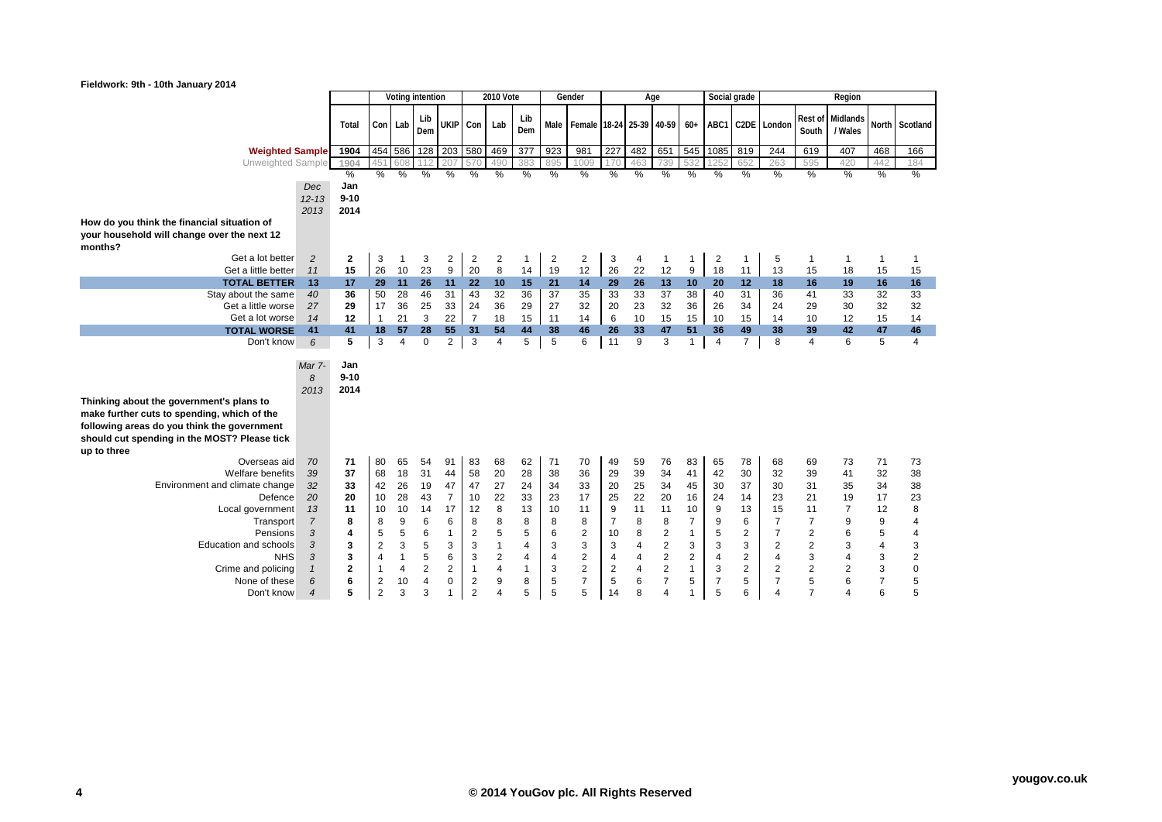| <b>2010 Vote</b><br>Gender<br>Social grade<br>Voting intention<br>Region<br>Age<br>Rest of<br>Midlands<br>Lib<br>Lib<br><b>UKIP</b><br>Con Lab<br>Con<br>Female 18-24 25-39 40-59<br>$60+$<br>ABC1 C2DE London<br>North<br>Scotland<br>Lab<br>Male<br>Total<br>Dem<br>Dem<br>South<br>/ Wales<br>454 586<br>$\overline{128}$<br>203<br>580<br>$\overline{377}$<br>923<br>227<br>482<br>651<br>545<br>1085<br>244<br>1904<br>469<br>981<br>819<br>619<br>407<br>468<br>166<br><b>Weighted Sample</b><br>608<br>Unweighted Sample<br>1904<br>207<br>490<br>895<br>739<br>263<br>595<br>420<br>442<br>570<br>1009<br>532<br>652<br>184<br>112<br>383<br>%<br>%<br>%<br>%<br>%<br>$\frac{0}{2}$<br>%<br>%<br>%<br>%<br>$\frac{0}{0}$<br>$\%$<br>$\frac{9}{6}$<br>%<br>$\%$<br>%<br>%<br>%<br>%<br>%<br>$\%$<br>Jan<br>Dec<br>$9 - 10$<br>$12 - 13$<br>2014<br>2013<br>How do you think the financial situation of<br>your household will change over the next 12<br>months?<br>$\overline{2}$<br>3<br>$\overline{c}$<br>$\overline{2}$<br>$\overline{2}$<br>3<br>Get a lot better<br>$\overline{c}$<br>3<br>2<br>$\overline{2}$<br>2<br>$\mathbf{1}$<br>5<br>$\mathbf{1}$<br>$\mathbf{1}$<br>$\mathbf{1}$<br>$\mathbf{1}$<br>4<br>$\mathbf{1}$<br>$\mathbf{1}$<br>$\mathbf{1}$<br>1<br>20<br>26<br>10<br>23<br>9<br>8<br>19<br>12<br>26<br>12<br>15<br>14<br>22<br>9<br>18<br>11<br>13<br>15<br>Get a little better<br>18<br>15<br>15<br>11<br>29<br>17<br>11<br>26<br>22<br>21<br>29<br>26<br>13<br><b>TOTAL BETTER</b><br>13<br>11<br>10<br>15<br>14<br>10<br>20<br>18<br>16<br>16<br>16<br>12<br>19<br>36<br>50<br>28<br>46<br>31<br>43<br>32<br>36<br>37<br>33<br>33<br>37<br>38<br>35<br>40<br>31<br>41<br>32<br>33<br>Stay about the same<br>36<br>33<br>40<br>32<br>29<br>17<br>36<br>25<br>24<br>36<br>29<br>27<br>32<br>23<br>36<br>34<br>Get a little worse<br>33<br>20<br>26<br>24<br>29<br>30<br>32<br>32<br>27<br>15<br>15<br>12<br>$\overline{1}$<br>21<br>3<br>22<br>$\overline{7}$<br>18<br>15<br>11<br>14<br>6<br>10<br>15<br>10<br>Get a lot worse<br>14<br>10<br>12<br>15<br>14<br>14<br>44<br>41<br>55<br>46<br>47<br><b>TOTAL WORSE</b><br>41<br>18<br>57<br>28<br>31<br>54<br>38<br>26<br>33<br>51<br>36<br>49<br>38<br>39<br>42<br>47<br>46<br>5<br>3<br>$\overline{2}$<br>3<br>5<br>5<br>6<br>11<br>9<br>3<br>8<br>6<br>5<br>$\overline{4}$<br>Don't know<br>6<br>$\overline{4}$<br>$\mathbf 0$<br>$\mathbf{1}$<br>$\overline{4}$<br>$\overline{7}$<br>$\overline{4}$<br>4<br>Jan<br>Mar 7-<br>$9 - 10$<br>8<br>2014<br>2013<br>Thinking about the government's plans to<br>make further cuts to spending, which of the<br>following areas do you think the government<br>should cut spending in the MOST? Please tick<br>up to three<br>70<br>71<br>80<br>54<br>83<br>62<br>71<br>70<br>76<br>78<br>71<br>Overseas aid<br>65<br>91<br>68<br>49<br>59<br>83<br>65<br>68<br>69<br>73<br>73<br>Welfare benefits<br>34<br>39<br>37<br>68<br>18<br>31<br>58<br>20<br>28<br>36<br>29<br>39<br>30<br>32<br>38<br>41<br>42<br>39<br>41<br>38<br>44<br>32<br>33<br>42<br>26<br>19<br>47<br>27<br>24<br>25<br>34<br>37<br>Environment and climate change<br>47<br>34<br>33<br>20<br>45<br>30<br>31<br>34<br>32<br>30<br>35<br>38<br>22<br>33<br>22<br>20<br>20<br>10<br>28<br>43<br>$\overline{7}$<br>10<br>23<br>17<br>25<br>16<br>24<br>14<br>21<br>17<br>23<br>20<br>23<br>19<br>Defence | Fieldwork: 9th - 10th January 2014 |    |    |    |    |    |    |    |   |    |    |    |   |    |    |    |   |    |    |    |                |    |   |
|--------------------------------------------------------------------------------------------------------------------------------------------------------------------------------------------------------------------------------------------------------------------------------------------------------------------------------------------------------------------------------------------------------------------------------------------------------------------------------------------------------------------------------------------------------------------------------------------------------------------------------------------------------------------------------------------------------------------------------------------------------------------------------------------------------------------------------------------------------------------------------------------------------------------------------------------------------------------------------------------------------------------------------------------------------------------------------------------------------------------------------------------------------------------------------------------------------------------------------------------------------------------------------------------------------------------------------------------------------------------------------------------------------------------------------------------------------------------------------------------------------------------------------------------------------------------------------------------------------------------------------------------------------------------------------------------------------------------------------------------------------------------------------------------------------------------------------------------------------------------------------------------------------------------------------------------------------------------------------------------------------------------------------------------------------------------------------------------------------------------------------------------------------------------------------------------------------------------------------------------------------------------------------------------------------------------------------------------------------------------------------------------------------------------------------------------------------------------------------------------------------------------------------------------------------------------------------------------------------------------------------------------------------------------------------------------------------------------------------------------------------------------------------------------------------------------------------------------------------------------------------------------------------------------------------------------------------------------------------------------------------------------------------------------------------------------------------------------------------------------------------------------------------------------------------------------------------------------------------------------------------------------------------------------------------------------------------------------------------------------------------------------------------|------------------------------------|----|----|----|----|----|----|----|---|----|----|----|---|----|----|----|---|----|----|----|----------------|----|---|
|                                                                                                                                                                                                                                                                                                                                                                                                                                                                                                                                                                                                                                                                                                                                                                                                                                                                                                                                                                                                                                                                                                                                                                                                                                                                                                                                                                                                                                                                                                                                                                                                                                                                                                                                                                                                                                                                                                                                                                                                                                                                                                                                                                                                                                                                                                                                                                                                                                                                                                                                                                                                                                                                                                                                                                                                                                                                                                                                                                                                                                                                                                                                                                                                                                                                                                                                                                                                        |                                    |    |    |    |    |    |    |    |   |    |    |    |   |    |    |    |   |    |    |    |                |    |   |
|                                                                                                                                                                                                                                                                                                                                                                                                                                                                                                                                                                                                                                                                                                                                                                                                                                                                                                                                                                                                                                                                                                                                                                                                                                                                                                                                                                                                                                                                                                                                                                                                                                                                                                                                                                                                                                                                                                                                                                                                                                                                                                                                                                                                                                                                                                                                                                                                                                                                                                                                                                                                                                                                                                                                                                                                                                                                                                                                                                                                                                                                                                                                                                                                                                                                                                                                                                                                        |                                    |    |    |    |    |    |    |    |   |    |    |    |   |    |    |    |   |    |    |    |                |    |   |
|                                                                                                                                                                                                                                                                                                                                                                                                                                                                                                                                                                                                                                                                                                                                                                                                                                                                                                                                                                                                                                                                                                                                                                                                                                                                                                                                                                                                                                                                                                                                                                                                                                                                                                                                                                                                                                                                                                                                                                                                                                                                                                                                                                                                                                                                                                                                                                                                                                                                                                                                                                                                                                                                                                                                                                                                                                                                                                                                                                                                                                                                                                                                                                                                                                                                                                                                                                                                        |                                    |    |    |    |    |    |    |    |   |    |    |    |   |    |    |    |   |    |    |    |                |    |   |
|                                                                                                                                                                                                                                                                                                                                                                                                                                                                                                                                                                                                                                                                                                                                                                                                                                                                                                                                                                                                                                                                                                                                                                                                                                                                                                                                                                                                                                                                                                                                                                                                                                                                                                                                                                                                                                                                                                                                                                                                                                                                                                                                                                                                                                                                                                                                                                                                                                                                                                                                                                                                                                                                                                                                                                                                                                                                                                                                                                                                                                                                                                                                                                                                                                                                                                                                                                                                        |                                    |    |    |    |    |    |    |    |   |    |    |    |   |    |    |    |   |    |    |    |                |    |   |
|                                                                                                                                                                                                                                                                                                                                                                                                                                                                                                                                                                                                                                                                                                                                                                                                                                                                                                                                                                                                                                                                                                                                                                                                                                                                                                                                                                                                                                                                                                                                                                                                                                                                                                                                                                                                                                                                                                                                                                                                                                                                                                                                                                                                                                                                                                                                                                                                                                                                                                                                                                                                                                                                                                                                                                                                                                                                                                                                                                                                                                                                                                                                                                                                                                                                                                                                                                                                        |                                    |    |    |    |    |    |    |    |   |    |    |    |   |    |    |    |   |    |    |    |                |    |   |
|                                                                                                                                                                                                                                                                                                                                                                                                                                                                                                                                                                                                                                                                                                                                                                                                                                                                                                                                                                                                                                                                                                                                                                                                                                                                                                                                                                                                                                                                                                                                                                                                                                                                                                                                                                                                                                                                                                                                                                                                                                                                                                                                                                                                                                                                                                                                                                                                                                                                                                                                                                                                                                                                                                                                                                                                                                                                                                                                                                                                                                                                                                                                                                                                                                                                                                                                                                                                        |                                    |    |    |    |    |    |    |    |   |    |    |    |   |    |    |    |   |    |    |    |                |    |   |
|                                                                                                                                                                                                                                                                                                                                                                                                                                                                                                                                                                                                                                                                                                                                                                                                                                                                                                                                                                                                                                                                                                                                                                                                                                                                                                                                                                                                                                                                                                                                                                                                                                                                                                                                                                                                                                                                                                                                                                                                                                                                                                                                                                                                                                                                                                                                                                                                                                                                                                                                                                                                                                                                                                                                                                                                                                                                                                                                                                                                                                                                                                                                                                                                                                                                                                                                                                                                        |                                    |    |    |    |    |    |    |    |   |    |    |    |   |    |    |    |   |    |    |    |                |    |   |
|                                                                                                                                                                                                                                                                                                                                                                                                                                                                                                                                                                                                                                                                                                                                                                                                                                                                                                                                                                                                                                                                                                                                                                                                                                                                                                                                                                                                                                                                                                                                                                                                                                                                                                                                                                                                                                                                                                                                                                                                                                                                                                                                                                                                                                                                                                                                                                                                                                                                                                                                                                                                                                                                                                                                                                                                                                                                                                                                                                                                                                                                                                                                                                                                                                                                                                                                                                                                        |                                    |    |    |    |    |    |    |    |   |    |    |    |   |    |    |    |   |    |    |    |                |    |   |
|                                                                                                                                                                                                                                                                                                                                                                                                                                                                                                                                                                                                                                                                                                                                                                                                                                                                                                                                                                                                                                                                                                                                                                                                                                                                                                                                                                                                                                                                                                                                                                                                                                                                                                                                                                                                                                                                                                                                                                                                                                                                                                                                                                                                                                                                                                                                                                                                                                                                                                                                                                                                                                                                                                                                                                                                                                                                                                                                                                                                                                                                                                                                                                                                                                                                                                                                                                                                        |                                    |    |    |    |    |    |    |    |   |    |    |    |   |    |    |    |   |    |    |    |                |    |   |
|                                                                                                                                                                                                                                                                                                                                                                                                                                                                                                                                                                                                                                                                                                                                                                                                                                                                                                                                                                                                                                                                                                                                                                                                                                                                                                                                                                                                                                                                                                                                                                                                                                                                                                                                                                                                                                                                                                                                                                                                                                                                                                                                                                                                                                                                                                                                                                                                                                                                                                                                                                                                                                                                                                                                                                                                                                                                                                                                                                                                                                                                                                                                                                                                                                                                                                                                                                                                        |                                    |    |    |    |    |    |    |    |   |    |    |    |   |    |    |    |   |    |    |    |                |    |   |
|                                                                                                                                                                                                                                                                                                                                                                                                                                                                                                                                                                                                                                                                                                                                                                                                                                                                                                                                                                                                                                                                                                                                                                                                                                                                                                                                                                                                                                                                                                                                                                                                                                                                                                                                                                                                                                                                                                                                                                                                                                                                                                                                                                                                                                                                                                                                                                                                                                                                                                                                                                                                                                                                                                                                                                                                                                                                                                                                                                                                                                                                                                                                                                                                                                                                                                                                                                                                        |                                    |    |    |    |    |    |    |    |   |    |    |    |   |    |    |    |   |    |    |    |                |    |   |
|                                                                                                                                                                                                                                                                                                                                                                                                                                                                                                                                                                                                                                                                                                                                                                                                                                                                                                                                                                                                                                                                                                                                                                                                                                                                                                                                                                                                                                                                                                                                                                                                                                                                                                                                                                                                                                                                                                                                                                                                                                                                                                                                                                                                                                                                                                                                                                                                                                                                                                                                                                                                                                                                                                                                                                                                                                                                                                                                                                                                                                                                                                                                                                                                                                                                                                                                                                                                        |                                    |    |    |    |    |    |    |    |   |    |    |    |   |    |    |    |   |    |    |    |                |    |   |
|                                                                                                                                                                                                                                                                                                                                                                                                                                                                                                                                                                                                                                                                                                                                                                                                                                                                                                                                                                                                                                                                                                                                                                                                                                                                                                                                                                                                                                                                                                                                                                                                                                                                                                                                                                                                                                                                                                                                                                                                                                                                                                                                                                                                                                                                                                                                                                                                                                                                                                                                                                                                                                                                                                                                                                                                                                                                                                                                                                                                                                                                                                                                                                                                                                                                                                                                                                                                        |                                    |    |    |    |    |    |    |    |   |    |    |    |   |    |    |    |   |    |    |    |                |    |   |
|                                                                                                                                                                                                                                                                                                                                                                                                                                                                                                                                                                                                                                                                                                                                                                                                                                                                                                                                                                                                                                                                                                                                                                                                                                                                                                                                                                                                                                                                                                                                                                                                                                                                                                                                                                                                                                                                                                                                                                                                                                                                                                                                                                                                                                                                                                                                                                                                                                                                                                                                                                                                                                                                                                                                                                                                                                                                                                                                                                                                                                                                                                                                                                                                                                                                                                                                                                                                        |                                    |    |    |    |    |    |    |    |   |    |    |    |   |    |    |    |   |    |    |    |                |    |   |
|                                                                                                                                                                                                                                                                                                                                                                                                                                                                                                                                                                                                                                                                                                                                                                                                                                                                                                                                                                                                                                                                                                                                                                                                                                                                                                                                                                                                                                                                                                                                                                                                                                                                                                                                                                                                                                                                                                                                                                                                                                                                                                                                                                                                                                                                                                                                                                                                                                                                                                                                                                                                                                                                                                                                                                                                                                                                                                                                                                                                                                                                                                                                                                                                                                                                                                                                                                                                        |                                    |    |    |    |    |    |    |    |   |    |    |    |   |    |    |    |   |    |    |    |                |    |   |
|                                                                                                                                                                                                                                                                                                                                                                                                                                                                                                                                                                                                                                                                                                                                                                                                                                                                                                                                                                                                                                                                                                                                                                                                                                                                                                                                                                                                                                                                                                                                                                                                                                                                                                                                                                                                                                                                                                                                                                                                                                                                                                                                                                                                                                                                                                                                                                                                                                                                                                                                                                                                                                                                                                                                                                                                                                                                                                                                                                                                                                                                                                                                                                                                                                                                                                                                                                                                        |                                    |    |    |    |    |    |    |    |   |    |    |    |   |    |    |    |   |    |    |    |                |    |   |
|                                                                                                                                                                                                                                                                                                                                                                                                                                                                                                                                                                                                                                                                                                                                                                                                                                                                                                                                                                                                                                                                                                                                                                                                                                                                                                                                                                                                                                                                                                                                                                                                                                                                                                                                                                                                                                                                                                                                                                                                                                                                                                                                                                                                                                                                                                                                                                                                                                                                                                                                                                                                                                                                                                                                                                                                                                                                                                                                                                                                                                                                                                                                                                                                                                                                                                                                                                                                        |                                    |    |    |    |    |    |    |    |   |    |    |    |   |    |    |    |   |    |    |    |                |    |   |
|                                                                                                                                                                                                                                                                                                                                                                                                                                                                                                                                                                                                                                                                                                                                                                                                                                                                                                                                                                                                                                                                                                                                                                                                                                                                                                                                                                                                                                                                                                                                                                                                                                                                                                                                                                                                                                                                                                                                                                                                                                                                                                                                                                                                                                                                                                                                                                                                                                                                                                                                                                                                                                                                                                                                                                                                                                                                                                                                                                                                                                                                                                                                                                                                                                                                                                                                                                                                        |                                    |    |    |    |    |    |    |    |   |    |    |    |   |    |    |    |   |    |    |    |                |    |   |
|                                                                                                                                                                                                                                                                                                                                                                                                                                                                                                                                                                                                                                                                                                                                                                                                                                                                                                                                                                                                                                                                                                                                                                                                                                                                                                                                                                                                                                                                                                                                                                                                                                                                                                                                                                                                                                                                                                                                                                                                                                                                                                                                                                                                                                                                                                                                                                                                                                                                                                                                                                                                                                                                                                                                                                                                                                                                                                                                                                                                                                                                                                                                                                                                                                                                                                                                                                                                        |                                    |    |    |    |    |    |    |    |   |    |    |    |   |    |    |    |   |    |    |    |                |    |   |
|                                                                                                                                                                                                                                                                                                                                                                                                                                                                                                                                                                                                                                                                                                                                                                                                                                                                                                                                                                                                                                                                                                                                                                                                                                                                                                                                                                                                                                                                                                                                                                                                                                                                                                                                                                                                                                                                                                                                                                                                                                                                                                                                                                                                                                                                                                                                                                                                                                                                                                                                                                                                                                                                                                                                                                                                                                                                                                                                                                                                                                                                                                                                                                                                                                                                                                                                                                                                        |                                    |    |    |    |    |    |    |    |   |    |    |    |   |    |    |    |   |    |    |    |                |    |   |
|                                                                                                                                                                                                                                                                                                                                                                                                                                                                                                                                                                                                                                                                                                                                                                                                                                                                                                                                                                                                                                                                                                                                                                                                                                                                                                                                                                                                                                                                                                                                                                                                                                                                                                                                                                                                                                                                                                                                                                                                                                                                                                                                                                                                                                                                                                                                                                                                                                                                                                                                                                                                                                                                                                                                                                                                                                                                                                                                                                                                                                                                                                                                                                                                                                                                                                                                                                                                        |                                    |    |    |    |    |    |    |    |   |    |    |    |   |    |    |    |   |    |    |    |                |    |   |
|                                                                                                                                                                                                                                                                                                                                                                                                                                                                                                                                                                                                                                                                                                                                                                                                                                                                                                                                                                                                                                                                                                                                                                                                                                                                                                                                                                                                                                                                                                                                                                                                                                                                                                                                                                                                                                                                                                                                                                                                                                                                                                                                                                                                                                                                                                                                                                                                                                                                                                                                                                                                                                                                                                                                                                                                                                                                                                                                                                                                                                                                                                                                                                                                                                                                                                                                                                                                        |                                    |    |    |    |    |    |    |    |   |    |    |    |   |    |    |    |   |    |    |    |                |    |   |
|                                                                                                                                                                                                                                                                                                                                                                                                                                                                                                                                                                                                                                                                                                                                                                                                                                                                                                                                                                                                                                                                                                                                                                                                                                                                                                                                                                                                                                                                                                                                                                                                                                                                                                                                                                                                                                                                                                                                                                                                                                                                                                                                                                                                                                                                                                                                                                                                                                                                                                                                                                                                                                                                                                                                                                                                                                                                                                                                                                                                                                                                                                                                                                                                                                                                                                                                                                                                        |                                    |    |    |    |    |    |    |    |   |    |    |    |   |    |    |    |   |    |    |    |                |    |   |
|                                                                                                                                                                                                                                                                                                                                                                                                                                                                                                                                                                                                                                                                                                                                                                                                                                                                                                                                                                                                                                                                                                                                                                                                                                                                                                                                                                                                                                                                                                                                                                                                                                                                                                                                                                                                                                                                                                                                                                                                                                                                                                                                                                                                                                                                                                                                                                                                                                                                                                                                                                                                                                                                                                                                                                                                                                                                                                                                                                                                                                                                                                                                                                                                                                                                                                                                                                                                        |                                    |    |    |    |    |    |    |    |   |    |    |    |   |    |    |    |   |    |    |    |                |    |   |
|                                                                                                                                                                                                                                                                                                                                                                                                                                                                                                                                                                                                                                                                                                                                                                                                                                                                                                                                                                                                                                                                                                                                                                                                                                                                                                                                                                                                                                                                                                                                                                                                                                                                                                                                                                                                                                                                                                                                                                                                                                                                                                                                                                                                                                                                                                                                                                                                                                                                                                                                                                                                                                                                                                                                                                                                                                                                                                                                                                                                                                                                                                                                                                                                                                                                                                                                                                                                        |                                    |    |    |    |    |    |    |    |   |    |    |    |   |    |    |    |   |    |    |    |                |    |   |
|                                                                                                                                                                                                                                                                                                                                                                                                                                                                                                                                                                                                                                                                                                                                                                                                                                                                                                                                                                                                                                                                                                                                                                                                                                                                                                                                                                                                                                                                                                                                                                                                                                                                                                                                                                                                                                                                                                                                                                                                                                                                                                                                                                                                                                                                                                                                                                                                                                                                                                                                                                                                                                                                                                                                                                                                                                                                                                                                                                                                                                                                                                                                                                                                                                                                                                                                                                                                        |                                    |    |    |    |    |    |    |    |   |    |    |    |   |    |    |    |   |    |    |    |                |    |   |
|                                                                                                                                                                                                                                                                                                                                                                                                                                                                                                                                                                                                                                                                                                                                                                                                                                                                                                                                                                                                                                                                                                                                                                                                                                                                                                                                                                                                                                                                                                                                                                                                                                                                                                                                                                                                                                                                                                                                                                                                                                                                                                                                                                                                                                                                                                                                                                                                                                                                                                                                                                                                                                                                                                                                                                                                                                                                                                                                                                                                                                                                                                                                                                                                                                                                                                                                                                                                        |                                    |    |    |    |    |    |    |    |   |    |    |    |   |    |    |    |   |    |    |    |                |    |   |
|                                                                                                                                                                                                                                                                                                                                                                                                                                                                                                                                                                                                                                                                                                                                                                                                                                                                                                                                                                                                                                                                                                                                                                                                                                                                                                                                                                                                                                                                                                                                                                                                                                                                                                                                                                                                                                                                                                                                                                                                                                                                                                                                                                                                                                                                                                                                                                                                                                                                                                                                                                                                                                                                                                                                                                                                                                                                                                                                                                                                                                                                                                                                                                                                                                                                                                                                                                                                        |                                    |    |    |    |    |    |    |    |   |    |    |    |   |    |    |    |   |    |    |    |                |    |   |
|                                                                                                                                                                                                                                                                                                                                                                                                                                                                                                                                                                                                                                                                                                                                                                                                                                                                                                                                                                                                                                                                                                                                                                                                                                                                                                                                                                                                                                                                                                                                                                                                                                                                                                                                                                                                                                                                                                                                                                                                                                                                                                                                                                                                                                                                                                                                                                                                                                                                                                                                                                                                                                                                                                                                                                                                                                                                                                                                                                                                                                                                                                                                                                                                                                                                                                                                                                                                        |                                    |    |    |    |    |    |    |    |   |    |    |    |   |    |    |    |   |    |    |    |                |    |   |
|                                                                                                                                                                                                                                                                                                                                                                                                                                                                                                                                                                                                                                                                                                                                                                                                                                                                                                                                                                                                                                                                                                                                                                                                                                                                                                                                                                                                                                                                                                                                                                                                                                                                                                                                                                                                                                                                                                                                                                                                                                                                                                                                                                                                                                                                                                                                                                                                                                                                                                                                                                                                                                                                                                                                                                                                                                                                                                                                                                                                                                                                                                                                                                                                                                                                                                                                                                                                        |                                    |    |    |    |    |    |    |    |   |    |    |    |   |    |    |    |   |    |    |    |                |    |   |
|                                                                                                                                                                                                                                                                                                                                                                                                                                                                                                                                                                                                                                                                                                                                                                                                                                                                                                                                                                                                                                                                                                                                                                                                                                                                                                                                                                                                                                                                                                                                                                                                                                                                                                                                                                                                                                                                                                                                                                                                                                                                                                                                                                                                                                                                                                                                                                                                                                                                                                                                                                                                                                                                                                                                                                                                                                                                                                                                                                                                                                                                                                                                                                                                                                                                                                                                                                                                        | Local government                   | 13 | 11 | 10 | 10 | 14 | 17 | 12 | 8 | 13 | 10 | 11 | 9 | 11 | 11 | 10 | 9 | 13 | 15 | 11 | $\overline{7}$ | 12 | 8 |
| $\overline{7}$<br>8<br>8<br>8<br>9<br>$\overline{7}$<br>8<br>8<br>9<br>6<br>6<br>8<br>8<br>8<br>8<br>7<br>9<br>6<br>7<br>9<br>$\overline{7}$<br>4<br>Transport                                                                                                                                                                                                                                                                                                                                                                                                                                                                                                                                                                                                                                                                                                                                                                                                                                                                                                                                                                                                                                                                                                                                                                                                                                                                                                                                                                                                                                                                                                                                                                                                                                                                                                                                                                                                                                                                                                                                                                                                                                                                                                                                                                                                                                                                                                                                                                                                                                                                                                                                                                                                                                                                                                                                                                                                                                                                                                                                                                                                                                                                                                                                                                                                                                         |                                    |    |    |    |    |    |    |    |   |    |    |    |   |    |    |    |   |    |    |    |                |    |   |
| 5<br>$\overline{2}$<br>5<br>$\overline{c}$<br>5<br>6<br>8<br>$\overline{2}$<br>$\overline{7}$<br>$\overline{c}$<br>5<br>3<br>5<br>6<br>$\overline{\mathbf{c}}$<br>$\mathbf{1}$<br>5<br>6<br>Pensions<br>4<br>$\mathbf{1}$<br>10<br>4                                                                                                                                                                                                                                                                                                                                                                                                                                                                                                                                                                                                                                                                                                                                                                                                                                                                                                                                                                                                                                                                                                                                                                                                                                                                                                                                                                                                                                                                                                                                                                                                                                                                                                                                                                                                                                                                                                                                                                                                                                                                                                                                                                                                                                                                                                                                                                                                                                                                                                                                                                                                                                                                                                                                                                                                                                                                                                                                                                                                                                                                                                                                                                   |                                    |    |    |    |    |    |    |    |   |    |    |    |   |    |    |    |   |    |    |    |                |    |   |
| 3<br>$\overline{c}$<br>$\overline{c}$<br>5<br>3<br>$\overline{4}$<br>3<br>$\overline{4}$<br>3<br>3<br>$\overline{\mathbf{4}}$<br>3<br>3<br>$\overline{2}$<br>3<br>3<br>$\overline{1}$<br>3<br>3<br>2<br>3<br>3<br>Education and schools<br>$\sqrt{2}$<br>$\overline{2}$<br>$\overline{c}$<br>3<br>3<br>3<br>5<br>6<br>$\overline{4}$<br>4<br>$\overline{c}$<br>$\overline{4}$<br>4<br>$\overline{4}$<br><b>NHS</b><br>1                                                                                                                                                                                                                                                                                                                                                                                                                                                                                                                                                                                                                                                                                                                                                                                                                                                                                                                                                                                                                                                                                                                                                                                                                                                                                                                                                                                                                                                                                                                                                                                                                                                                                                                                                                                                                                                                                                                                                                                                                                                                                                                                                                                                                                                                                                                                                                                                                                                                                                                                                                                                                                                                                                                                                                                                                                                                                                                                                                                |                                    |    |    |    |    |    |    |    |   |    |    |    |   |    |    |    |   |    |    |    |                |    |   |
| 3<br>2<br>3<br>$\overline{c}$<br>4<br>4<br>4<br>$\overline{2}$<br>$\overline{2}$<br>$\overline{2}$<br>3<br>$\mathbf{2}$<br>$\overline{2}$<br>$\overline{2}$<br>3<br>$\overline{2}$<br>$\overline{2}$<br>$\mathbf 0$<br>$\mathbf{1}$<br>$\overline{2}$<br>4<br>$\mathbf{1}$<br>3<br>2<br>Crime and policing<br>$\overline{1}$<br>4<br>$\mathbf{1}$<br>4<br>$\mathbf{1}$                                                                                                                                                                                                                                                                                                                                                                                                                                                                                                                                                                                                                                                                                                                                                                                                                                                                                                                                                                                                                                                                                                                                                                                                                                                                                                                                                                                                                                                                                                                                                                                                                                                                                                                                                                                                                                                                                                                                                                                                                                                                                                                                                                                                                                                                                                                                                                                                                                                                                                                                                                                                                                                                                                                                                                                                                                                                                                                                                                                                                                 |                                    |    |    |    |    |    |    |    |   |    |    |    |   |    |    |    |   |    |    |    |                |    |   |
| $\overline{7}$<br>$\overline{7}$<br>5<br>$\overline{7}$<br>8<br>5<br>$\overline{7}$<br>6<br>6<br>4<br>$\overline{c}$<br>9<br>5<br>6<br>5<br>5<br>5<br>6<br>2<br>10<br>0<br>$\overline{7}$<br>None of these                                                                                                                                                                                                                                                                                                                                                                                                                                                                                                                                                                                                                                                                                                                                                                                                                                                                                                                                                                                                                                                                                                                                                                                                                                                                                                                                                                                                                                                                                                                                                                                                                                                                                                                                                                                                                                                                                                                                                                                                                                                                                                                                                                                                                                                                                                                                                                                                                                                                                                                                                                                                                                                                                                                                                                                                                                                                                                                                                                                                                                                                                                                                                                                             |                                    |    |    |    |    |    |    |    |   |    |    |    |   |    |    |    |   |    |    |    |                |    |   |
| $\overline{c}$<br>$\overline{2}$<br>5<br>5<br>5<br>$\overline{7}$<br>6<br>5<br>5<br>3<br>8<br>$\overline{4}$<br>3<br>1<br>14<br>$\mathbf{1}$<br>5<br>6<br>$\overline{4}$<br>Don't know<br>$\overline{4}$<br>4<br>4                                                                                                                                                                                                                                                                                                                                                                                                                                                                                                                                                                                                                                                                                                                                                                                                                                                                                                                                                                                                                                                                                                                                                                                                                                                                                                                                                                                                                                                                                                                                                                                                                                                                                                                                                                                                                                                                                                                                                                                                                                                                                                                                                                                                                                                                                                                                                                                                                                                                                                                                                                                                                                                                                                                                                                                                                                                                                                                                                                                                                                                                                                                                                                                     |                                    |    |    |    |    |    |    |    |   |    |    |    |   |    |    |    |   |    |    |    |                |    |   |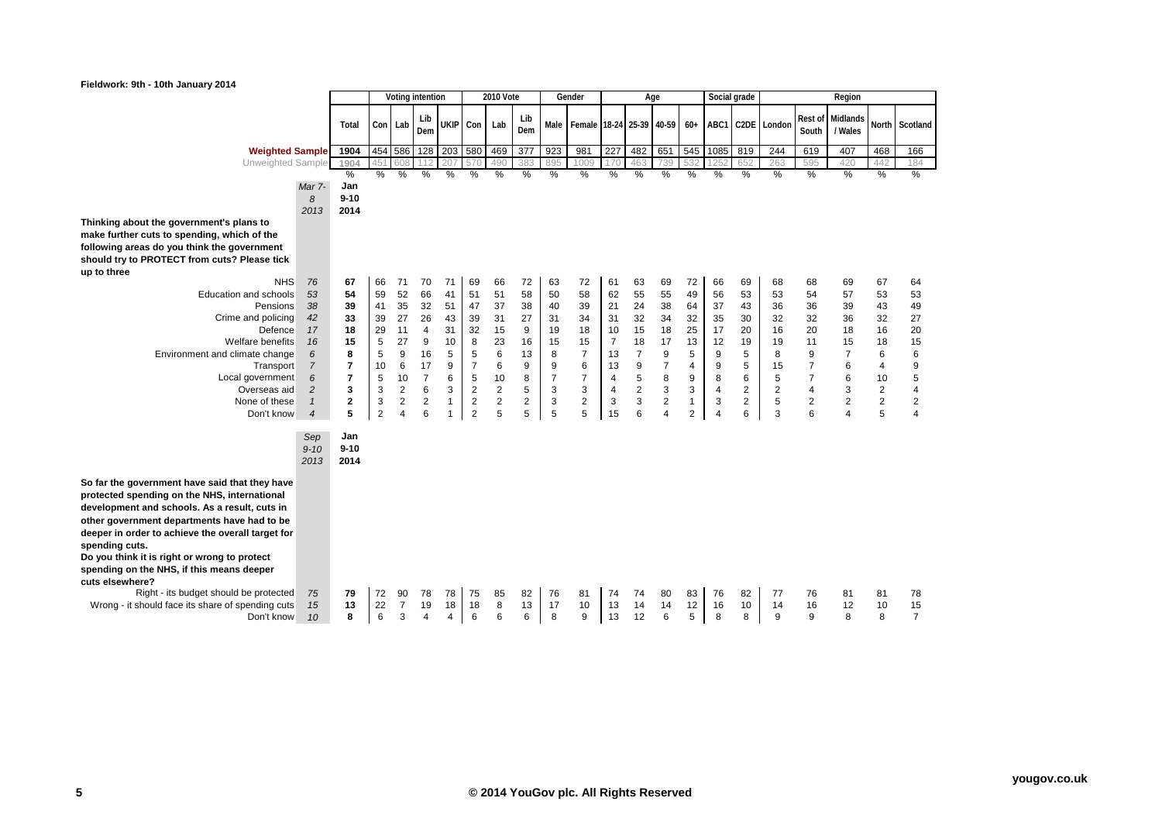| Fieldwork: 9th - 10th January 2014                                                                                                                                                                                                                                                                                                                                                                                                                                                                 |                                                                                                                                     |                                                                                                |                                                                             |                                                                                                        |                                                                                                                |                                                                           |                                                                                                                            |                                                                              |                                                                          |                                                                             |                                                                                                    |                                                                                                         |                                                                                          |                                                                                                         |                                                                                        |                                                                             |                                                                                          |                                                                 |                                                                                          |                                                                                                                |                                                                                                    |                                                                             |
|----------------------------------------------------------------------------------------------------------------------------------------------------------------------------------------------------------------------------------------------------------------------------------------------------------------------------------------------------------------------------------------------------------------------------------------------------------------------------------------------------|-------------------------------------------------------------------------------------------------------------------------------------|------------------------------------------------------------------------------------------------|-----------------------------------------------------------------------------|--------------------------------------------------------------------------------------------------------|----------------------------------------------------------------------------------------------------------------|---------------------------------------------------------------------------|----------------------------------------------------------------------------------------------------------------------------|------------------------------------------------------------------------------|--------------------------------------------------------------------------|-----------------------------------------------------------------------------|----------------------------------------------------------------------------------------------------|---------------------------------------------------------------------------------------------------------|------------------------------------------------------------------------------------------|---------------------------------------------------------------------------------------------------------|----------------------------------------------------------------------------------------|-----------------------------------------------------------------------------|------------------------------------------------------------------------------------------|-----------------------------------------------------------------|------------------------------------------------------------------------------------------|----------------------------------------------------------------------------------------------------------------|----------------------------------------------------------------------------------------------------|-----------------------------------------------------------------------------|
|                                                                                                                                                                                                                                                                                                                                                                                                                                                                                                    |                                                                                                                                     |                                                                                                |                                                                             |                                                                                                        | Voting intention                                                                                               |                                                                           |                                                                                                                            | 2010 Vote                                                                    |                                                                          |                                                                             | Gender                                                                                             |                                                                                                         |                                                                                          | Age                                                                                                     |                                                                                        |                                                                             | Social grade                                                                             |                                                                 |                                                                                          | Region                                                                                                         |                                                                                                    |                                                                             |
|                                                                                                                                                                                                                                                                                                                                                                                                                                                                                                    |                                                                                                                                     | Total                                                                                          | Con Lab                                                                     |                                                                                                        | Lib<br>Dem                                                                                                     | <b>UKIP</b>                                                               | Con                                                                                                                        | Lab                                                                          | Lib<br>Dem                                                               | Male                                                                        | Female 18-24 25-39 40-59                                                                           |                                                                                                         |                                                                                          |                                                                                                         | $60+$                                                                                  |                                                                             |                                                                                          | ABC1 C2DE London                                                | Rest of<br>South                                                                         | Midlands<br>/ Wales                                                                                            | North                                                                                              | Scotland                                                                    |
| <b>Weighted Sample</b>                                                                                                                                                                                                                                                                                                                                                                                                                                                                             |                                                                                                                                     | 1904                                                                                           |                                                                             | 454 586                                                                                                | 128                                                                                                            | 203                                                                       | 580                                                                                                                        | 469                                                                          | 377                                                                      | 923                                                                         | 981                                                                                                | 227                                                                                                     | 482                                                                                      | 651                                                                                                     | 545                                                                                    | 1085                                                                        | 819                                                                                      | 244                                                             | 619                                                                                      | 407                                                                                                            | 468                                                                                                | 166                                                                         |
| Unweighted Sample                                                                                                                                                                                                                                                                                                                                                                                                                                                                                  |                                                                                                                                     | 1904                                                                                           | 45'                                                                         | 608                                                                                                    | 112                                                                                                            | 207                                                                       | 57C                                                                                                                        | 490                                                                          | 383                                                                      | 895                                                                         | 1009                                                                                               | 170                                                                                                     | 46.                                                                                      | 739                                                                                                     | 532                                                                                    |                                                                             | 652                                                                                      | 263                                                             | 595                                                                                      | 420                                                                                                            | 442                                                                                                | 184                                                                         |
|                                                                                                                                                                                                                                                                                                                                                                                                                                                                                                    |                                                                                                                                     | %                                                                                              | $\%$                                                                        | %                                                                                                      | $\%$                                                                                                           | %                                                                         | $\%$                                                                                                                       | %                                                                            | %                                                                        | %                                                                           | %                                                                                                  | $\frac{0}{0}$                                                                                           | %                                                                                        | %                                                                                                       | %                                                                                      | %                                                                           | %                                                                                        | %                                                               | $\%$                                                                                     | $\frac{0}{2}$                                                                                                  | %                                                                                                  | %                                                                           |
|                                                                                                                                                                                                                                                                                                                                                                                                                                                                                                    | Mar 7-                                                                                                                              | Jan                                                                                            |                                                                             |                                                                                                        |                                                                                                                |                                                                           |                                                                                                                            |                                                                              |                                                                          |                                                                             |                                                                                                    |                                                                                                         |                                                                                          |                                                                                                         |                                                                                        |                                                                             |                                                                                          |                                                                 |                                                                                          |                                                                                                                |                                                                                                    |                                                                             |
|                                                                                                                                                                                                                                                                                                                                                                                                                                                                                                    | 8                                                                                                                                   | $9 - 10$                                                                                       |                                                                             |                                                                                                        |                                                                                                                |                                                                           |                                                                                                                            |                                                                              |                                                                          |                                                                             |                                                                                                    |                                                                                                         |                                                                                          |                                                                                                         |                                                                                        |                                                                             |                                                                                          |                                                                 |                                                                                          |                                                                                                                |                                                                                                    |                                                                             |
|                                                                                                                                                                                                                                                                                                                                                                                                                                                                                                    | 2013                                                                                                                                | 2014                                                                                           |                                                                             |                                                                                                        |                                                                                                                |                                                                           |                                                                                                                            |                                                                              |                                                                          |                                                                             |                                                                                                    |                                                                                                         |                                                                                          |                                                                                                         |                                                                                        |                                                                             |                                                                                          |                                                                 |                                                                                          |                                                                                                                |                                                                                                    |                                                                             |
| Thinking about the government's plans to<br>make further cuts to spending, which of the<br>following areas do you think the government<br>should try to PROTECT from cuts? Please tick<br>up to three                                                                                                                                                                                                                                                                                              |                                                                                                                                     |                                                                                                |                                                                             |                                                                                                        |                                                                                                                |                                                                           |                                                                                                                            |                                                                              |                                                                          |                                                                             |                                                                                                    |                                                                                                         |                                                                                          |                                                                                                         |                                                                                        |                                                                             |                                                                                          |                                                                 |                                                                                          |                                                                                                                |                                                                                                    |                                                                             |
| <b>NHS</b><br><b>Education and schools</b><br>Pensions<br>Crime and policing<br>Defence<br><b>Welfare benefits</b><br>Environment and climate change<br>Transport<br>Local government<br>Overseas aid<br>None of these<br>Don't know                                                                                                                                                                                                                                                               | 76<br>53<br>38<br>42<br>17<br>16<br>6<br>$\overline{7}$<br>6<br>$\overline{c}$<br>$\mathbf{1}$<br>$\overline{4}$<br>Sep<br>$9 - 10$ | 67<br>54<br>39<br>33<br>18<br>15<br>8<br>7<br>$\overline{7}$<br>3<br>2<br>5<br>Jan<br>$9 - 10$ | 66<br>59<br>41<br>39<br>29<br>5<br>5<br>10<br>5<br>3<br>3<br>$\overline{2}$ | 71<br>52<br>35<br>27<br>11<br>27<br>9<br>6<br>10<br>$\overline{2}$<br>$\overline{c}$<br>$\overline{4}$ | 70<br>66<br>32<br>26<br>$\overline{4}$<br>9<br>16<br>17<br>$\overline{7}$<br>6<br>$\overline{\mathbf{c}}$<br>6 | 71<br>41<br>51<br>43<br>31<br>10<br>5<br>9<br>6<br>3<br>$\mathbf{1}$<br>1 | 69<br>51<br>47<br>39<br>32<br>8<br>5<br>$\overline{7}$<br>5<br>$\overline{2}$<br>$\overline{\mathbf{c}}$<br>$\overline{2}$ | 66<br>51<br>37<br>31<br>15<br>23<br>6<br>6<br>10<br>$\overline{2}$<br>2<br>5 | 72<br>58<br>38<br>27<br>9<br>16<br>13<br>9<br>8<br>5<br>$\mathbf 2$<br>5 | 63<br>50<br>40<br>31<br>19<br>15<br>8<br>9<br>$\overline{7}$<br>3<br>3<br>5 | 72<br>58<br>39<br>34<br>18<br>15<br>$\overline{7}$<br>6<br>$\overline{7}$<br>3<br>$\mathbf 2$<br>5 | 61<br>62<br>21<br>31<br>10<br>$\overline{7}$<br>13<br>13<br>$\overline{4}$<br>$\overline{4}$<br>3<br>15 | 63<br>55<br>24<br>32<br>15<br>18<br>$\overline{7}$<br>9<br>5<br>$\overline{2}$<br>3<br>6 | 69<br>55<br>38<br>34<br>18<br>17<br>9<br>$\overline{7}$<br>8<br>3<br>$\boldsymbol{2}$<br>$\overline{4}$ | 72<br>49<br>64<br>32<br>25<br>13<br>5<br>4<br>9<br>3<br>$\mathbf{1}$<br>$\overline{2}$ | 66<br>56<br>37<br>35<br>17<br>12<br>9<br>9<br>8<br>$\overline{4}$<br>3<br>4 | 69<br>53<br>43<br>30<br>20<br>19<br>5<br>5<br>6<br>$\overline{2}$<br>$\overline{c}$<br>6 | 68<br>53<br>36<br>32<br>16<br>19<br>8<br>15<br>5<br>2<br>5<br>3 | 68<br>54<br>36<br>32<br>20<br>11<br>9<br>$\overline{7}$<br>$\overline{7}$<br>4<br>2<br>6 | 69<br>57<br>39<br>36<br>18<br>15<br>$\overline{7}$<br>6<br>6<br>3<br>$\overline{2}$<br>$\overline{\mathbf{4}}$ | 67<br>53<br>43<br>32<br>16<br>18<br>6<br>4<br>10<br>$\overline{2}$<br>$\overline{\mathbf{c}}$<br>5 | 64<br>53<br>49<br>27<br>20<br>15<br>6<br>9<br>5<br>4<br>2<br>$\overline{4}$ |
| So far the government have said that they have<br>protected spending on the NHS, international<br>development and schools. As a result, cuts in<br>other government departments have had to be<br>deeper in order to achieve the overall target for<br>spending cuts.<br>Do you think it is right or wrong to protect<br>spending on the NHS, if this means deeper<br>cuts elsewhere?<br>Right - its budget should be protected<br>Wrong - it should face its share of spending cuts<br>Don't know | 2013<br>75<br>15<br>10                                                                                                              | 2014<br>79<br>13<br>8                                                                          | 72<br>22<br>6                                                               | 90<br>7<br>3                                                                                           | 78<br>19<br>$\overline{4}$                                                                                     | 78<br>18<br>4                                                             | 75<br>18<br>6                                                                                                              | 85<br>8<br>6                                                                 | 82<br>13<br>6                                                            | 76<br>17<br>8                                                               | 81<br>10<br>9                                                                                      | 74<br>13<br>13                                                                                          | 74<br>14<br>12                                                                           | 80<br>14<br>6                                                                                           | 83<br>12<br>5                                                                          | 76<br>16<br>8                                                               | 82<br>10<br>8                                                                            | 77<br>14<br>9                                                   | 76<br>16<br>9                                                                            | 81<br>12<br>8                                                                                                  | 81<br>10<br>8                                                                                      | 78<br>15<br>$\overline{7}$                                                  |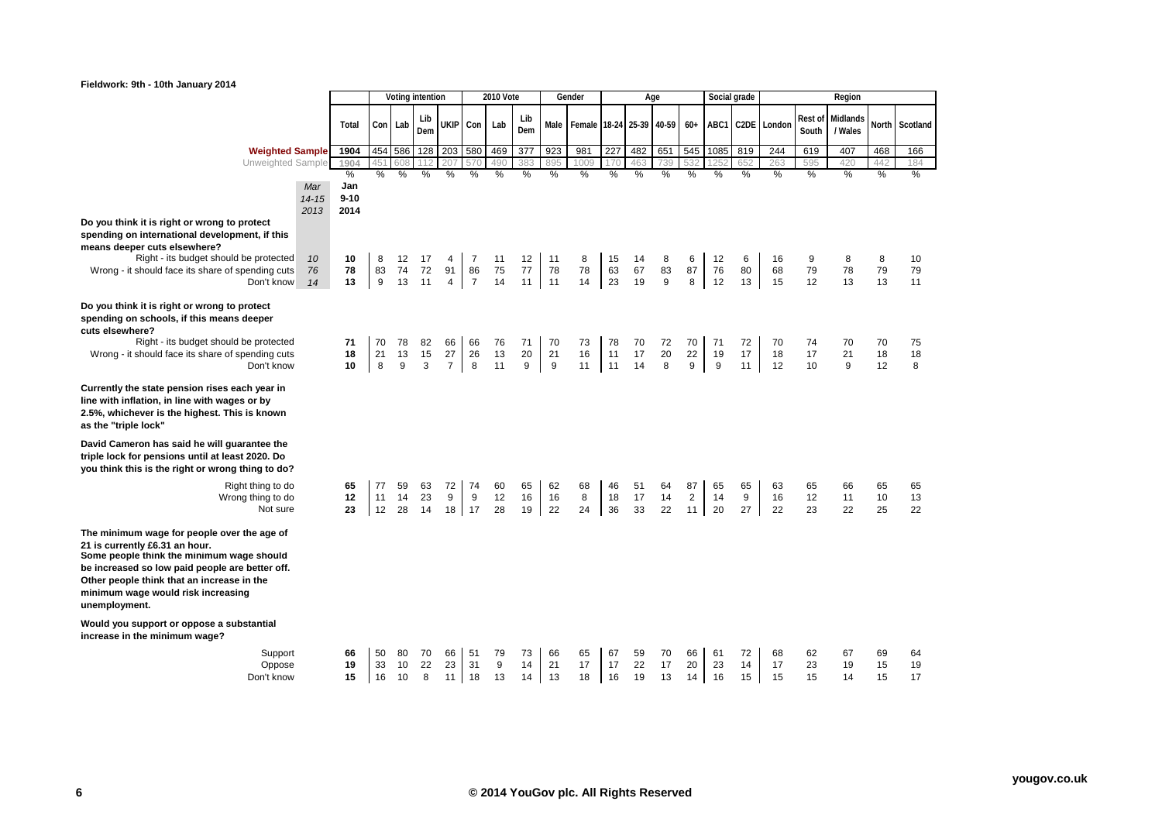| Fieldwork: 9th - 10th January 2014                                                                                                                                                                                                                                                 |                          |                              |                |                |                  |                            |                  |                |                |                |                          |                        |                |                |                            |                |                |                  |                  |                     |                |                |
|------------------------------------------------------------------------------------------------------------------------------------------------------------------------------------------------------------------------------------------------------------------------------------|--------------------------|------------------------------|----------------|----------------|------------------|----------------------------|------------------|----------------|----------------|----------------|--------------------------|------------------------|----------------|----------------|----------------------------|----------------|----------------|------------------|------------------|---------------------|----------------|----------------|
|                                                                                                                                                                                                                                                                                    |                          |                              |                |                | Voting intention |                            |                  | 2010 Vote      |                |                | Gender                   |                        |                | Age            |                            |                | Social grade   |                  |                  | Region              |                |                |
|                                                                                                                                                                                                                                                                                    |                          | Total                        |                | Con Lab        | Lib<br>Dem       |                            | UKIP Con         | Lab            | Lib<br>Dem     | Male           | Female 18-24 25-39 40-59 |                        |                |                | $60+$                      |                |                | ABC1 C2DE London | Rest of<br>South | Midlands<br>/ Wales | <b>North</b>   | Scotland       |
| <b>Weighted Sample</b>                                                                                                                                                                                                                                                             |                          | 1904                         | 454            | 586            | 128              | 203                        | 580              | 469            | 377            | 923            | 981                      | 227                    | 482            | 651            | 545                        | 1085           | 819            | 244              | 619              | 407                 | 468            | 166            |
| Unweighted Sample                                                                                                                                                                                                                                                                  |                          | 1904                         | 45             | 608            |                  | 207                        | 57C              | 490            | 383            | 895            | 1009                     | 170                    | 463            | 739            |                            | 1252           | 652            | 263              | 595              | 420                 | 442            | 184            |
|                                                                                                                                                                                                                                                                                    | Mar<br>$14 - 15$<br>2013 | %<br>Jan<br>$9 - 10$<br>2014 | $\%$           | %              | %                | %                          | %                | %              | %              | %              | %                        | %                      | %              | %              | %                          | %              | %              | %                | %                | %                   | $\%$           | %              |
| Do you think it is right or wrong to protect<br>spending on international development, if this<br>means deeper cuts elsewhere?<br>Right - its budget should be protected<br>Wrong - it should face its share of spending cuts                                                      | 10<br>76                 | 10<br>78                     | 8<br>83        | 12<br>74       | 17<br>72         | 4<br>91                    | 7<br>86          | 11<br>75       | 12<br>77       | 11<br>78       | 8<br>78                  | 15<br>63               | 14<br>67       | 8<br>83        | 6<br>87                    | 12<br>76       | 6<br>80        | 16<br>68         | 9<br>79          | 8<br>78             | 8<br>79        | 10<br>79       |
| Don't know                                                                                                                                                                                                                                                                         | 14                       | 13                           | 9              | 13             | 11               | $\overline{4}$             | $\overline{7}$   | 14             | 11             | $\vert$ 11     | 14                       | 23                     | 19             | 9              | 8                          | 12             | 13             | 15               | 12               | 13                  | 13             | 11             |
| Do you think it is right or wrong to protect<br>spending on schools, if this means deeper<br>cuts elsewhere?<br>Right - its budget should be protected<br>Wrong - it should face its share of spending cuts<br>Don't know                                                          |                          | 71<br>18<br>10               | 70<br>21<br>8  | 78<br>13<br>9  | 82<br>15<br>3    | 66<br>27<br>$\overline{7}$ | 66<br>26<br>8    | 76<br>13<br>11 | 71<br>20<br>9  | 70<br>21<br>9  | 73<br>16<br>11           | 78<br>11<br>$\vert$ 11 | 70<br>17<br>14 | 72<br>20<br>8  | 70<br>22<br>9              | 71<br>19<br>9  | 72<br>17<br>11 | 70<br>18<br>12   | 74<br>17<br>10   | 70<br>21<br>9       | 70<br>18<br>12 | 75<br>18<br>8  |
| Currently the state pension rises each year in<br>line with inflation, in line with wages or by<br>2.5%, whichever is the highest. This is known<br>as the "triple lock"                                                                                                           |                          |                              |                |                |                  |                            |                  |                |                |                |                          |                        |                |                |                            |                |                |                  |                  |                     |                |                |
| David Cameron has said he will guarantee the<br>triple lock for pensions until at least 2020. Do<br>you think this is the right or wrong thing to do?                                                                                                                              |                          |                              |                |                |                  |                            |                  |                |                |                |                          |                        |                |                |                            |                |                |                  |                  |                     |                |                |
| Right thing to do<br>Wrong thing to do<br>Not sure                                                                                                                                                                                                                                 |                          | 65<br>12<br>23               | 77<br>11<br>12 | 59<br>14<br>28 | 63<br>23<br>14   | 72<br>9                    | 74<br>9<br>18 17 | 60<br>12<br>28 | 65<br>16<br>19 | 62<br>16<br>22 | 68<br>8<br>24            | 46<br>18<br>36         | 51<br>17<br>33 | 64<br>14<br>22 | 87<br>$\overline{2}$<br>11 | 65<br>14<br>20 | 65<br>9<br>27  | 63<br>16<br>22   | 65<br>12<br>23   | 66<br>11<br>22      | 65<br>10<br>25 | 65<br>13<br>22 |
| The minimum wage for people over the age of<br>21 is currently £6.31 an hour.<br>Some people think the minimum wage should<br>be increased so low paid people are better off.<br>Other people think that an increase in the<br>minimum wage would risk increasing<br>unemployment. |                          |                              |                |                |                  |                            |                  |                |                |                |                          |                        |                |                |                            |                |                |                  |                  |                     |                |                |
| Would you support or oppose a substantial<br>increase in the minimum wage?                                                                                                                                                                                                         |                          |                              |                |                |                  |                            |                  |                |                |                |                          |                        |                |                |                            |                |                |                  |                  |                     |                |                |
| Support<br>Oppose<br>Don't know                                                                                                                                                                                                                                                    |                          | 66<br>19<br>15               | 50<br>33<br>16 | 80<br>10<br>10 | 70<br>22<br>8    | 66<br>23<br>11             | 51<br>31<br>18   | 79<br>9<br>13  | 73<br>14<br>14 | 66<br>21<br>13 | 65<br>17<br>18           | 67<br>17<br>16         | 59<br>22<br>19 | 70<br>17<br>13 | 66<br>20<br>14             | 61<br>23<br>16 | 72<br>14<br>15 | 68<br>17<br>15   | 62<br>23<br>15   | 67<br>19<br>14      | 69<br>15<br>15 | 64<br>19<br>17 |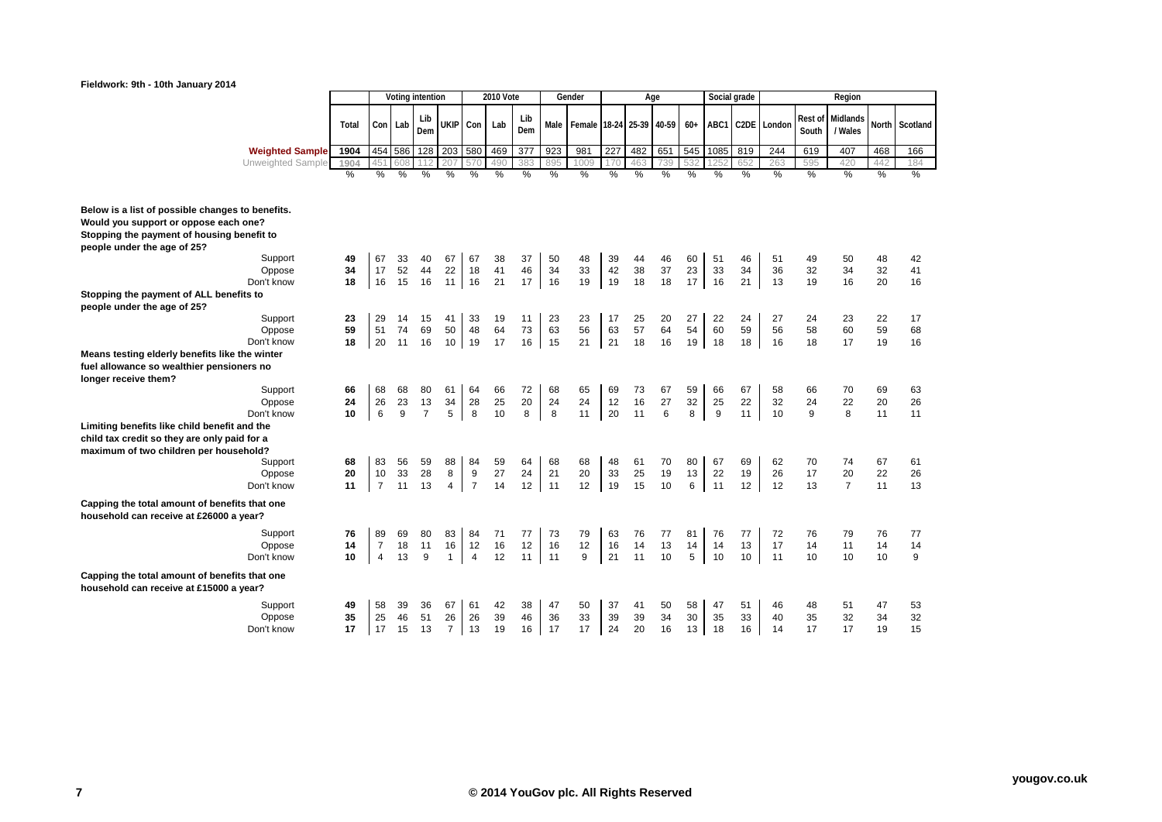## **Fieldwork: 9th - 10th January 2014**



|                                                                                                                                                                                   |                |                            |                | Voting intention |                            |                           | <b>2010 Vote</b> |                |                | Gender                   |                 |                | Age            |                | Social grade   |                |                  |                  | Region                     |                |                |
|-----------------------------------------------------------------------------------------------------------------------------------------------------------------------------------|----------------|----------------------------|----------------|------------------|----------------------------|---------------------------|------------------|----------------|----------------|--------------------------|-----------------|----------------|----------------|----------------|----------------|----------------|------------------|------------------|----------------------------|----------------|----------------|
|                                                                                                                                                                                   | Total          | Con Lab                    |                | Lib<br>Dem       | <b>UKIP</b>                | Con Lab                   |                  | Lib<br>Dem     | Male           | Female 18-24 25-39 40-59 |                 |                |                | $60+$          |                |                | ABC1 C2DE Londor | Rest of<br>South | Midlands<br>/ Wales        |                | North Scotland |
| <b>Weighted Sample</b>                                                                                                                                                            | 1904           |                            | 454 586        | 128              | $\overline{203}$           | 580                       | 469              | 377            | 923            | 981                      | 227             | 482            | 651            | 545            | 1085           | 819            | 244              | 619              | 407                        | 468            | 166            |
| Unweighted Sample                                                                                                                                                                 | 1904           |                            | 608            | 12               | 207                        | 570                       | 490              |                | 895            | 1009                     | 17 <sub>C</sub> | 463            | 739            |                |                | 652            | 263              | 595              | 420                        | 442            | 184            |
|                                                                                                                                                                                   | $\frac{0}{0}$  | %                          | %              | $\frac{9}{6}$    | $\frac{0}{6}$              | $\frac{0}{0}$             | $\frac{0}{2}$    | $\frac{0}{2}$  | $\frac{0}{0}$  | $\frac{0}{2}$            | $\frac{0}{2}$   | $\frac{0}{0}$  | $\frac{0}{2}$  | $\frac{0}{2}$  | $\frac{0}{6}$  | $\frac{9}{6}$  | %                | $\frac{0}{6}$    | %                          | %              | %              |
| Below is a list of possible changes to benefits.<br>Would you support or oppose each one?<br>Stopping the payment of housing benefit to<br>people under the age of 25?<br>Support | 49             | 67                         | 33             | 40               | 67                         | 67                        | 38               | 37             | 50             | 48                       | 39              | 44             | 46             | 60             | 51             | 46             | 51               | 49               | 50                         | 48             | 42             |
| Oppose                                                                                                                                                                            | 34             | 17                         | 52             | 44               | 22                         | 18                        | 41               | 46             | 34             | 33                       | 42              | 38             | 37             | 23             | 33             | 34             | 36               | 32               | 34                         | 32             | 41             |
| Don't know                                                                                                                                                                        | 18             | 16                         | 15             | 16               | 11                         | 16                        | 21               | 17             | 16             | 19                       | 19              | 18             | 18             | 17             | 16             | 21             | 13               | 19               | 16                         | 20             | 16             |
| Stopping the payment of ALL benefits to<br>people under the age of 25?<br>Support                                                                                                 | 23             | 29                         | 14             | 15               | 41                         | 33                        | 19               | 11             | 23             | 23                       | 17              | 25             | 20             | 27             | 22             | 24             | 27               | 24               | 23                         | 22             | 17             |
| Oppose                                                                                                                                                                            | 59             | 51                         | 74             | 69               | 50                         | 48                        | 64               | 73             | 63             | 56                       | 63              | 57             | 64             | 54             | 60             | 59             | 56               | 58               | 60                         | 59             | 68             |
| Don't know                                                                                                                                                                        | 18             | 20                         | 11             | 16               | 10 <sup>1</sup>            | 19                        | 17               | 16             | 15             | 21                       | 21              | 18             | 16             | 19             | 18             | 18             | 16               | 18               | 17                         | 19             | 16             |
| Means testing elderly benefits like the winter<br>fuel allowance so wealthier pensioners no                                                                                       |                |                            |                |                  |                            |                           |                  |                |                |                          |                 |                |                |                |                |                |                  |                  |                            |                |                |
| longer receive them?                                                                                                                                                              |                |                            |                |                  |                            |                           |                  |                |                |                          |                 |                |                |                |                |                |                  |                  |                            |                |                |
| Support                                                                                                                                                                           | 66<br>24       | 68<br>26                   | 68<br>23       | 80<br>13         | 61<br>34                   | 64<br>28                  | 66<br>25         | 72<br>20       | 68<br>24       | 65<br>24                 | 69<br>12        | 73<br>16       | 67<br>27       | 59             | 66<br>25       | 67             | 58<br>32         | 66<br>24         | 70<br>22                   | 69<br>20       | 63<br>26       |
| Oppose<br>Don't know                                                                                                                                                              | 10             | 6                          | 9              | $\overline{7}$   | 5                          | 8                         | 10               | 8              | 8              | 11                       | 20              | 11             | 6              | 32<br>8        | 9              | 22<br>11       | 10               | 9                | 8                          | 11             | 11             |
| Limiting benefits like child benefit and the                                                                                                                                      |                |                            |                |                  |                            |                           |                  |                |                |                          |                 |                |                |                |                |                |                  |                  |                            |                |                |
| child tax credit so they are only paid for a<br>maximum of two children per household?<br>Support<br>Oppose<br>Don't know                                                         | 68<br>20<br>11 | 83<br>10<br>$\overline{7}$ | 56<br>33<br>11 | 59<br>28<br>13   | 88<br>8<br>4               | 84<br>9<br>$\overline{7}$ | 59<br>27<br>14   | 64<br>24<br>12 | 68<br>21<br>11 | 68<br>20<br>12           | 48<br>33<br>19  | 61<br>25<br>15 | 70<br>19<br>10 | 80<br>13<br>6  | 67<br>22<br>11 | 69<br>19<br>12 | 62<br>26<br>12   | 70<br>17<br>13   | 74<br>20<br>$\overline{7}$ | 67<br>22<br>11 | 61<br>26<br>13 |
| Capping the total amount of benefits that one<br>household can receive at £26000 a year?                                                                                          |                |                            |                |                  |                            |                           |                  |                |                |                          |                 |                |                |                |                |                |                  |                  |                            |                |                |
| Support<br>Oppose<br>Don't know                                                                                                                                                   | 76<br>14<br>10 | 89<br>$\overline{7}$       | 69<br>18<br>13 | 80<br>11         | 83<br>16                   | 84<br>12                  | 71<br>16<br>12   | 77<br>12<br>11 | 73<br>16<br>11 | 79<br>12<br>9            | 63<br>16        | 76<br>14       | 77<br>13<br>10 | 81<br>14<br>5  | 76<br>14<br>10 | 77<br>13       | 72<br>17         | 76<br>14         | 79<br>11                   | 76<br>14       | 77<br>14       |
| Capping the total amount of benefits that one<br>household can receive at £15000 a year?                                                                                          |                | $\overline{4}$             |                | 9                | $\mathbf{1}$               | $\overline{4}$            |                  |                |                |                          | 21              | 11             |                |                |                | 10             | 11               | 10               | 10                         | 10             | 9              |
| Support<br>Oppose<br>Don't know                                                                                                                                                   | 49<br>35<br>17 | 58<br>25<br>17             | 39<br>46<br>15 | 36<br>51<br>13   | 67<br>26<br>$\overline{7}$ | 61<br>26<br>13            | 42<br>39<br>19   | 38<br>46<br>16 | 47<br>36<br>17 | 50<br>33<br>17           | 37<br>39<br>24  | 41<br>39<br>20 | 50<br>34<br>16 | 58<br>30<br>13 | 47<br>35<br>18 | 51<br>33<br>16 | 46<br>40<br>14   | 48<br>35<br>17   | 51<br>32<br>17             | 47<br>34<br>19 | 53<br>32<br>15 |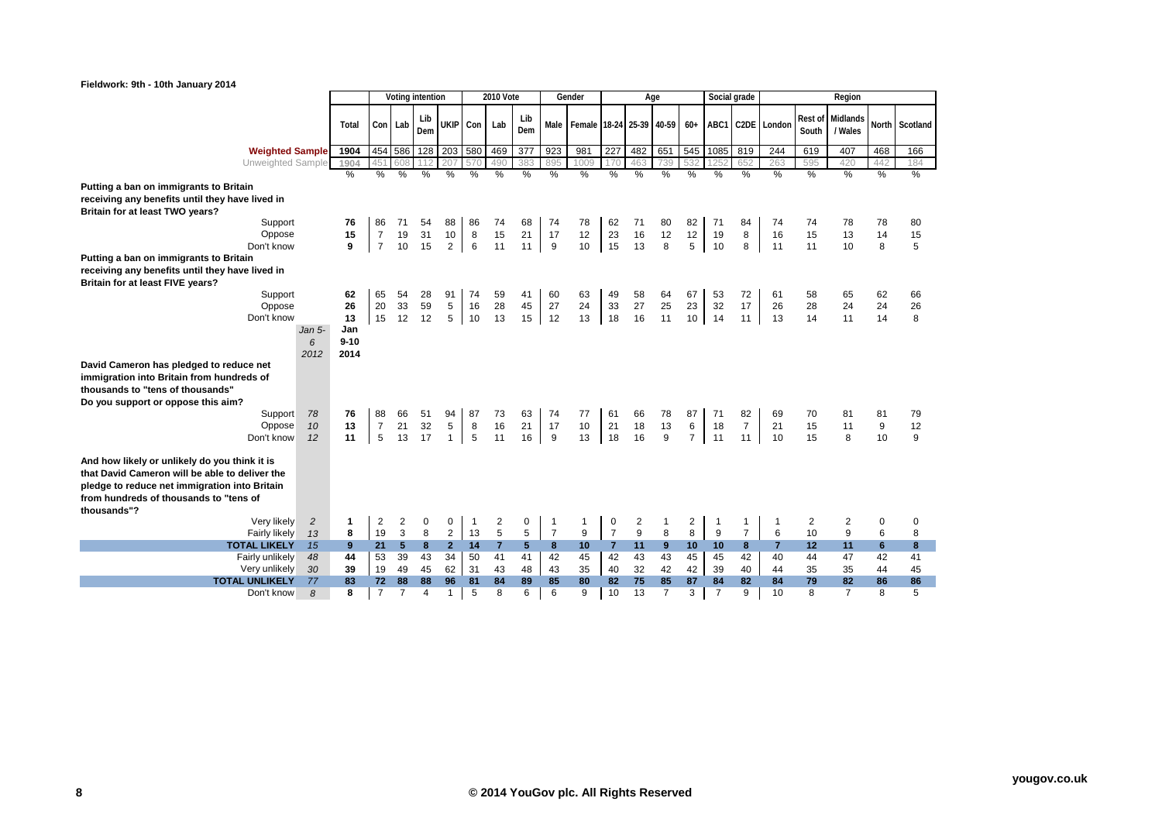|  | What the world thinks |
|--|-----------------------|

| Fieldwork: 9th - 10th January 2014                                                                                                                                                                        |                |             |                      |                 |                  |                |                |                |                |                |                               |                |          |                |                |                      |                |                |          |                             |          |          |
|-----------------------------------------------------------------------------------------------------------------------------------------------------------------------------------------------------------|----------------|-------------|----------------------|-----------------|------------------|----------------|----------------|----------------|----------------|----------------|-------------------------------|----------------|----------|----------------|----------------|----------------------|----------------|----------------|----------|-----------------------------|----------|----------|
|                                                                                                                                                                                                           |                |             |                      |                 | Voting intention |                |                | 2010 Vote      |                |                | Gender                        |                |          | Age            |                |                      | Social grade   |                |          | Region                      |          |          |
|                                                                                                                                                                                                           |                | Total       | Con Lab              |                 | Lib<br>Dem       |                | UKIP Con       | Lab            | Lib<br>Dem     |                | Male Female 18-24 25-39 40-59 |                |          |                | $60+$          | ABC1                 |                | C2DE London    | South    | Rest of Midlands<br>/ Wales | North    | Scotland |
| <b>Weighted Sample</b>                                                                                                                                                                                    |                | 1904        |                      | 454 586         | 128              | 203            | 580            | 469            | 377            | 923            | 981                           | 227            | 482      | 651            | 545            | 1085                 | 819            | 244            | 619      | 407                         | 468      | 166      |
| Unweighted Sample                                                                                                                                                                                         |                | 1904        | 451                  | 608             | 112              | 207            | 570            | 490            | 383            | 895            | 1009                          | 170            | 463      | 739            | 532            | 125                  | 652            | 263            | 595      | 420                         | 442      | 184      |
|                                                                                                                                                                                                           |                | %           | %                    | %               | %                | %              | %              | %              | %              | %              | %                             | %              | %        | %              | %              | %                    | %              | %              | %        | %                           | %        | %        |
| Putting a ban on immigrants to Britain                                                                                                                                                                    |                |             |                      |                 |                  |                |                |                |                |                |                               |                |          |                |                |                      |                |                |          |                             |          |          |
| receiving any benefits until they have lived in                                                                                                                                                           |                |             |                      |                 |                  |                |                |                |                |                |                               |                |          |                |                |                      |                |                |          |                             |          |          |
| Britain for at least TWO years?                                                                                                                                                                           |                |             |                      |                 |                  |                |                |                |                |                |                               |                |          |                |                |                      |                |                |          |                             |          |          |
| Support<br>Oppose                                                                                                                                                                                         |                | 76<br>15    | 86<br>$\overline{7}$ | 71<br>19        | 54<br>31         | 88             | 86             | 74             | 68<br>21       | 74<br>17       | 78<br>12                      | 62<br>23       | 71<br>16 | 80<br>12       | 82             | 71                   | 84             | 74<br>16       | 74<br>15 | 78<br>13                    | 78<br>14 | 80       |
| Don't know                                                                                                                                                                                                |                | 9           | $\overline{7}$       | 10              | 15               | 10<br>$2 \mid$ | 8<br>6         | 15<br>11       | 11             | 9              | 10                            | 15             | 13       | 8              | 12<br>5        | 19<br>10             | 8<br>8         | 11             | 11       | 10                          | 8        | 15<br>5  |
| Putting a ban on immigrants to Britain                                                                                                                                                                    |                |             |                      |                 |                  |                |                |                |                |                |                               |                |          |                |                |                      |                |                |          |                             |          |          |
| receiving any benefits until they have lived in<br>Britain for at least FIVE years?                                                                                                                       |                |             |                      |                 |                  |                |                |                |                |                |                               |                |          |                |                |                      |                |                |          |                             |          |          |
| Support                                                                                                                                                                                                   |                | 62          | 65                   | 54              | 28               | 91             | 74             | 59             | 41             | 60             | 63                            | 49             | 58       | 64             | 67             | 53                   | 72             | 61             | 58       | 65                          | 62       | 66       |
| Oppose                                                                                                                                                                                                    |                | 26          | 20                   | 33              | 59               | 5              | 16             | 28             | 45             | 27             | 24                            | 33             | 27       | 25             | 23             | 32                   | 17             | 26             | 28       | 24                          | 24       | 26       |
| Don't know                                                                                                                                                                                                |                | 13          | 15                   | 12              | 12               | 5              | 10             | 13             | 15             | 12             | 13                            | 18             | 16       | 11             | 10             | 14                   | 11             | 13             | 14       | 11                          | 14       | 8        |
|                                                                                                                                                                                                           | Jan 5-         | Jan         |                      |                 |                  |                |                |                |                |                |                               |                |          |                |                |                      |                |                |          |                             |          |          |
|                                                                                                                                                                                                           | 6              | $9 - 10$    |                      |                 |                  |                |                |                |                |                |                               |                |          |                |                |                      |                |                |          |                             |          |          |
| David Cameron has pledged to reduce net                                                                                                                                                                   | 2012           | 2014        |                      |                 |                  |                |                |                |                |                |                               |                |          |                |                |                      |                |                |          |                             |          |          |
| immigration into Britain from hundreds of                                                                                                                                                                 |                |             |                      |                 |                  |                |                |                |                |                |                               |                |          |                |                |                      |                |                |          |                             |          |          |
| thousands to "tens of thousands"                                                                                                                                                                          |                |             |                      |                 |                  |                |                |                |                |                |                               |                |          |                |                |                      |                |                |          |                             |          |          |
| Do you support or oppose this aim?                                                                                                                                                                        |                |             |                      |                 |                  |                |                |                |                |                |                               |                |          |                |                |                      |                |                |          |                             |          |          |
| Support                                                                                                                                                                                                   | 78             | 76          | 88                   | 66              | 51               | 94             | 87             | 73             | 63             | 74             | 77                            | 61             | 66       | 78             | 87             | 71                   | 82             | 69             | 70       | 81                          | 81       | 79       |
| Oppose                                                                                                                                                                                                    | 10             | 13          | $\overline{7}$       | 21              | 32               | 5              | 8              | 16             | 21             | 17             | 10                            | 21             | 18       | 13             | 6              | 18                   | $\overline{7}$ | 21             | 15       | 11                          | $9$      | 12       |
| Don't know                                                                                                                                                                                                | 12             | 11          | 5                    | 13              | 17               | 1              | 5              | 11             | 16             | 9              | 13                            | 18             | 16       | 9              | $\overline{7}$ | 11                   | 11             | 10             | 15       | 8                           | 10       | 9        |
| And how likely or unlikely do you think it is<br>that David Cameron will be able to deliver the<br>pledge to reduce net immigration into Britain<br>from hundreds of thousands to "tens of<br>thousands"? |                |             |                      |                 |                  |                |                |                |                |                |                               |                |          |                |                |                      |                |                |          |                             |          |          |
| Very likely                                                                                                                                                                                               | $\overline{c}$ | $\mathbf 1$ | $\overline{c}$       | 2               | 0                | 0              | $\overline{1}$ | 2              | 0              | $\mathbf{1}$   | $\mathbf{1}$                  | 0              | 2        | $\mathbf{1}$   | 2              | $\overline{1}$       | 1              | -1             | 2        | 2                           | 0        | 0        |
| <b>Fairly likely</b>                                                                                                                                                                                      | 13             | 8           | 19                   | 3               | 8                | $\overline{2}$ | 13             | $\sqrt{5}$     | 5              | $\overline{7}$ | 9                             | $\overline{7}$ | 9        | 8              | 8              | 9                    | $\overline{7}$ | 6              | 10       | 9                           | 6        | 8        |
| <b>TOTAL LIKELY</b>                                                                                                                                                                                       | 15             | 9           | 21                   | $5\phantom{.0}$ | 8                | $\overline{2}$ | 14             | $\overline{7}$ | 5 <sup>5</sup> | 8              | 10                            | 7 <sup>7</sup> | 11       | 9              | 10             | 10                   | 8              | $\overline{7}$ | 12       | 11                          | 6        | 8        |
| Fairly unlikely                                                                                                                                                                                           | 48             | 44          | 53                   | 39              | 43               | 34             | 50             | 41             | 41             | 42             | 45                            | 42             | 43       | 43             | 45             | 45                   | 42             | 40             | 44       | 47                          | 42       | 41       |
| Very unlikely<br><b>TOTAL UNLIKELY</b>                                                                                                                                                                    | 30<br>77       | 39<br>83    | 19<br>72             | 49<br>88        | 45<br>88         | 62<br>96       | 31<br>81       | 43<br>84       | 48<br>89       | 43<br>85       | 35<br>80                      | 40<br>82       | 32<br>75 | 42<br>85       | 42<br>87       | 39                   | 40<br>82       | 44<br>84       | 35<br>79 | 35<br>82                    | 44<br>86 | 45<br>86 |
| Don't know                                                                                                                                                                                                | 8              | 8           | $\overline{7}$       | $\overline{7}$  | $\overline{4}$   | 1              | $\sqrt{5}$     | 8              | 6              | 6              | 9                             | 10             | 13       | $\overline{7}$ | 3              | 84<br>$\overline{7}$ | 9              | 10             | 8        | $\overline{7}$              | 8        | 5        |
|                                                                                                                                                                                                           |                |             |                      |                 |                  |                |                |                |                |                |                               |                |          |                |                |                      |                |                |          |                             |          |          |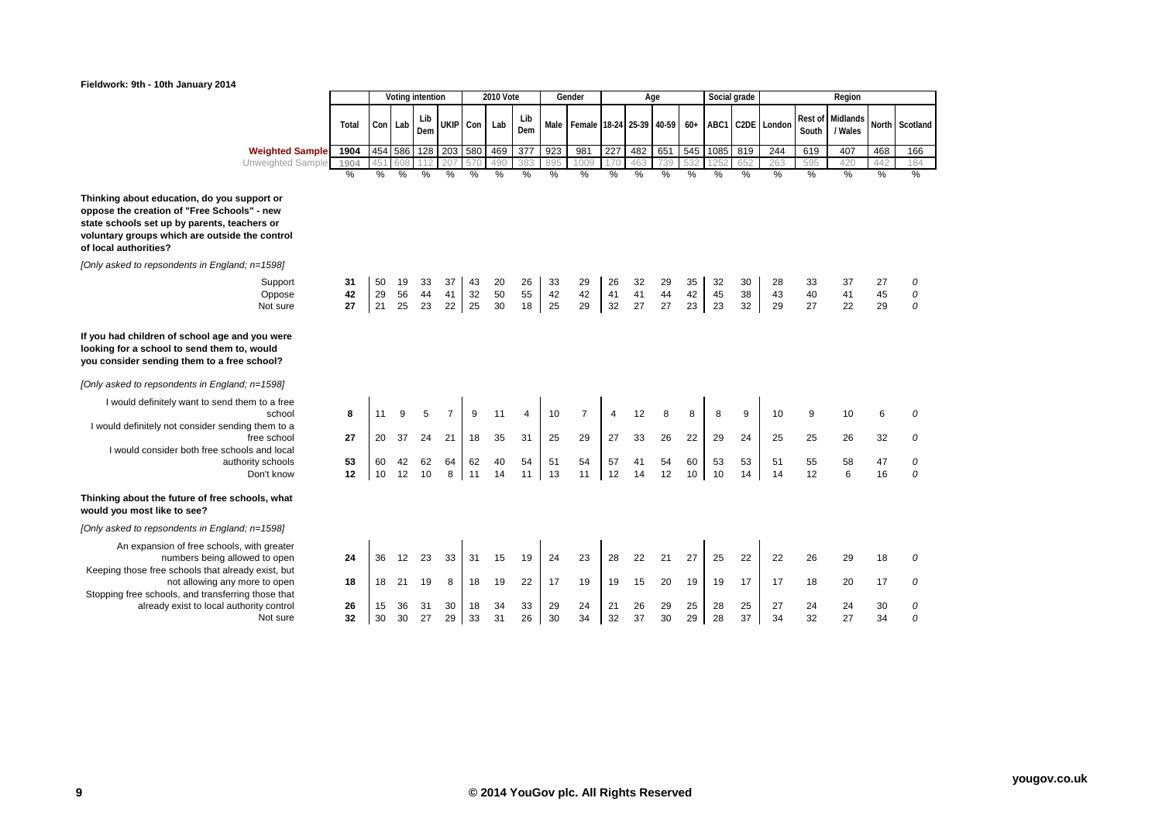## **Fieldwork: 9th - 10th January 2014**



|                                                                                                                                                                                                                       |                |                |                | Voting intention |                |                | <b>2010 Vote</b> |                  |                | Gender                   |                | Age            |                |                | Social grade   |                |                  |                | Region                      |                |               |
|-----------------------------------------------------------------------------------------------------------------------------------------------------------------------------------------------------------------------|----------------|----------------|----------------|------------------|----------------|----------------|------------------|------------------|----------------|--------------------------|----------------|----------------|----------------|----------------|----------------|----------------|------------------|----------------|-----------------------------|----------------|---------------|
|                                                                                                                                                                                                                       | Total          | Con Lab        |                | Lib<br>Dem       | <b>UKIP</b>    | Con            | Lab              | Lib<br>Dem       | Male           | Female 18-24 25-39 40-59 |                |                |                | $60+$          |                |                | ABC1 C2DE London | South          | Rest of Midlands<br>/ Wales | <b>North</b>   | Scotland      |
| <b>Weighted Sample</b>                                                                                                                                                                                                | 1904           |                | 454 586        | 128              | 203            | 580            | 469              | $\overline{377}$ | 923            | 981                      | 227            | 482            | 651            | 545            | 1085           | 819            | 244              | 619            | 407                         | 468            | 166           |
| Unweighted Sample                                                                                                                                                                                                     | 1904<br>$\%$   | 15<br>%        | 508<br>%       | %                | 207<br>%       | 570<br>%       | 490<br>%         | 383<br>%         | 895<br>%       | 1009<br>%                | 170<br>%       | 463<br>%       | 739<br>%       | 532<br>%       | %              | 652<br>%       | 263<br>%         | 595<br>%       | 420<br>%                    | 442<br>%       | 184<br>%      |
| Thinking about education, do you support or<br>oppose the creation of "Free Schools" - new<br>state schools set up by parents, teachers or<br>voluntary groups which are outside the control<br>of local authorities? |                |                |                |                  |                |                |                  |                  |                |                          |                |                |                |                |                |                |                  |                |                             |                |               |
| [Only asked to repsondents in England; n=1598]                                                                                                                                                                        |                |                |                |                  |                |                |                  |                  |                |                          |                |                |                |                |                |                |                  |                |                             |                |               |
| Support<br>Oppose<br>Not sure                                                                                                                                                                                         | 31<br>42<br>27 | 50<br>29<br>21 | 19<br>56<br>25 | 33<br>44<br>23   | 37<br>41<br>22 | 43<br>32<br>25 | 20<br>50<br>30   | 26<br>55<br>18   | 33<br>42<br>25 | 29<br>42<br>29           | 26<br>41<br>32 | 32<br>41<br>27 | 29<br>44<br>27 | 35<br>42<br>23 | 32<br>45<br>23 | 30<br>38<br>32 | 28<br>43<br>29   | 33<br>40<br>27 | 37<br>41<br>22              | 27<br>45<br>29 | 0<br>0<br>0   |
| If you had children of school age and you were<br>looking for a school to send them to, would<br>you consider sending them to a free school?                                                                          |                |                |                |                  |                |                |                  |                  |                |                          |                |                |                |                |                |                |                  |                |                             |                |               |
| [Only asked to repsondents in England; n=1598]                                                                                                                                                                        |                |                |                |                  |                |                |                  |                  |                |                          |                |                |                |                |                |                |                  |                |                             |                |               |
| I would definitely want to send them to a free<br>school<br>I would definitely not consider sending them to a                                                                                                         | 8              | 11             | 9              | 5                | $\overline{7}$ | 9              | 11               | 4                | 10             | $\overline{7}$           | $\overline{4}$ | 12             | 8              | 8              | 8              | 9              | 10               | 9              | 10                          | 6              | $\Omega$      |
| free school<br>I would consider both free schools and local                                                                                                                                                           | 27             | 20             | 37             | 24               | 21             | 18             | 35               | 31               | 25             | 29                       | 27             | 33             | 26             | 22             | 29             | 24             | 25               | 25             | 26                          | 32             | 0             |
| authority schools<br>Don't know                                                                                                                                                                                       | 53<br>12       | 60<br>10       | 42<br>12       | 62<br>10         | 64<br>8        | 62<br>11       | 40<br>14         | 54<br>11         | 51<br>13       | 54<br>11                 | 57<br>12       | 41<br>14       | 54<br>12       | 60<br>10       | 53<br>10       | 53<br>14       | 51<br>14         | 55<br>12       | 58<br>6                     | 47<br>16       | 0<br>$\Omega$ |
| Thinking about the future of free schools, what<br>would you most like to see?                                                                                                                                        |                |                |                |                  |                |                |                  |                  |                |                          |                |                |                |                |                |                |                  |                |                             |                |               |
| [Only asked to repsondents in England; n=1598]                                                                                                                                                                        |                |                |                |                  |                |                |                  |                  |                |                          |                |                |                |                |                |                |                  |                |                             |                |               |
| An expansion of free schools, with greater<br>numbers being allowed to open<br>Keeping those free schools that already exist, but                                                                                     | 24             | 36             | 12             | 23               | 33             | 31             | 15               | 19               | 24             | 23                       | 28             | 22             | 21             | 27             | 25             | 22             | 22               | 26             | 29                          | 18             | $\Omega$      |
| not allowing any more to open<br>Stopping free schools, and transferring those that                                                                                                                                   | 18             | 18             | 21             | 19               | 8              | 18             | 19               | 22               | 17             | 19                       | 19             | 15             | 20             | 19             | 19             | 17             | 17               | 18             | 20                          | 17             | 0             |
| already exist to local authority control<br>Not sure                                                                                                                                                                  | 26<br>32       | 15<br>30       | 36<br>30       | 31<br>27         | 30<br>29       | 18<br>33       | 34<br>31         | 33<br>26         | 29<br>30       | 24<br>34                 | 21<br>32       | 26<br>37       | 29<br>30       | 25<br>29       | 28<br>28       | 25<br>37       | 27<br>34         | 24<br>32       | 24<br>27                    | 30<br>34       | 0<br>$\Omega$ |